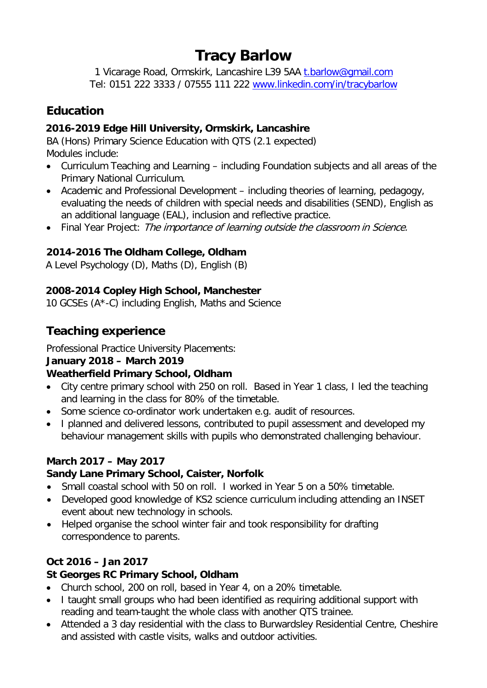## **Tracy Barlow**

1 Vicarage Road, Ormskirk, Lancashire L39 5AA t.barlow@gmail.com Tel: 0151 222 3333 / 07555 111 222 [www.linkedin.com/in/tracybarlow](http://www.linkedin.com/in/tracybarlow)

## **Education**

## **2016-2019 Edge Hill University, Ormskirk, Lancashire**

BA (Hons) Primary Science Education with QTS (2.1 expected) Modules include:

- Curriculum Teaching and Learning including Foundation subjects and all areas of the Primary National Curriculum.
- Academic and Professional Development including theories of learning, pedagogy, evaluating the needs of children with special needs and disabilities (SEND), English as an additional language (EAL), inclusion and reflective practice.
- Final Year Project: The importance of learning outside the classroom in Science.

## **2014-2016 The Oldham College, Oldham**

A Level Psychology (D), Maths (D), English (B)

## **2008-2014 Copley High School, Manchester**

10 GCSEs (A\*-C) including English, Maths and Science

## **Teaching experience**

Professional Practice University Placements:

#### **January 2018 – March 2019**

#### **Weatherfield Primary School, Oldham**

- City centre primary school with 250 on roll. Based in Year 1 class, I led the teaching and learning in the class for 80% of the timetable.
- Some science co-ordinator work undertaken e.g. audit of resources.
- I planned and delivered lessons, contributed to pupil assessment and developed my behaviour management skills with pupils who demonstrated challenging behaviour.

#### **March 2017 – May 2017**

#### **Sandy Lane Primary School, Caister, Norfolk**

- Small coastal school with 50 on roll. I worked in Year 5 on a 50% timetable.
- Developed good knowledge of KS2 science curriculum including attending an INSET event about new technology in schools.
- Helped organise the school winter fair and took responsibility for drafting correspondence to parents.

## **Oct 2016 – Jan 2017**

#### **St Georges RC Primary School, Oldham**

- Church school, 200 on roll, based in Year 4, on a 20% timetable.
- I taught small groups who had been identified as requiring additional support with reading and team-taught the whole class with another QTS trainee.
- Attended a 3 day residential with the class to Burwardsley Residential Centre, Cheshire and assisted with castle visits, walks and outdoor activities.